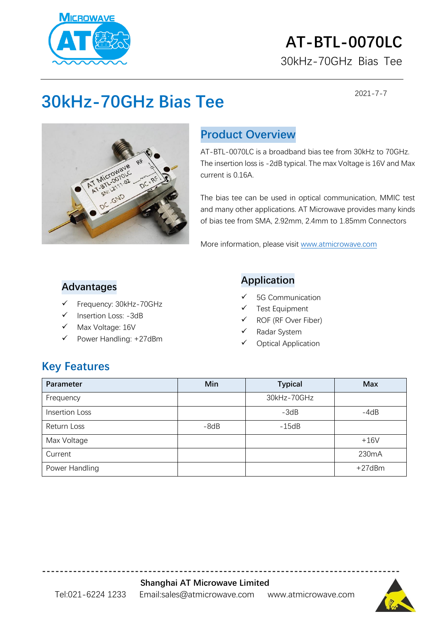

## **AT-BTL-0070LC** 30kHz-70GHz Bias Tee

2021-7-7

# **30kHz-70GHz Bias Tee**



## **Product Overview**

AT-BTL-0070LC is a broadband bias tee from 30kHz to 70GHz. The insertion loss is -2dB typical. The max Voltage is 16V and Max current is 0.16A.

The bias tee can be used in optical communication, MMIC test and many other applications. AT Microwave provides many kinds of bias tee from SMA, 2.92mm, 2.4mm to 1.85mm Connectors

More information, please visit [www.atmicrowave.com](http://www.atmicrowave.com/)

#### **Advantages**

- Frequency: 30kHz-70GHz
- Insertion Loss: -3dB
- Max Voltage: 16V
- Power Handling: +27dBm

#### **Application**

- ✓ 5G Communication
- Test Equipment
- $\checkmark$  ROF (RF Over Fiber)
- Radar System
- ✓ Optical Application

### **Key Features**

| Parameter             | Min    | <b>Typical</b> | <b>Max</b>   |
|-----------------------|--------|----------------|--------------|
| Frequency             |        | 30kHz-70GHz    |              |
| <b>Insertion Loss</b> |        | $-3dB$         | $-4dB$       |
| Return Loss           | $-8dB$ | $-15dB$        |              |
| Max Voltage           |        |                | $+16V$       |
| Current               |        |                | 230mA        |
| Power Handling        |        |                | $+27$ d $Bm$ |

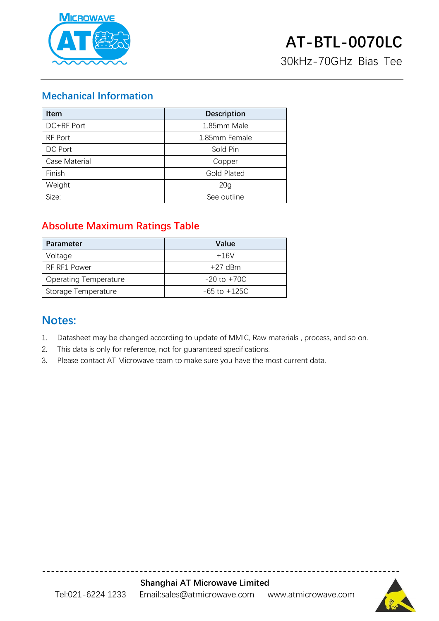

#### **Mechanical Information**

| <b>Item</b>          | <b>Description</b> |  |
|----------------------|--------------------|--|
| DC+RF Port           | 1.85mm Male        |  |
| RF Port              | 1.85mm Female      |  |
| DC Port              | Sold Pin           |  |
| <b>Case Material</b> | Copper             |  |
| Finish               | <b>Gold Plated</b> |  |
| Weight               | 20 <sub>g</sub>    |  |
| Size:                | See outline        |  |

#### **Absolute Maximum Ratings Table**

| <b>Parameter</b>             | Value            |
|------------------------------|------------------|
| Voltage                      | $+16V$           |
| RF RF1 Power                 | $+27$ dBm        |
| <b>Operating Temperature</b> | $-20$ to $+70C$  |
| Storage Temperature          | $-65$ to $+125C$ |

### **Notes:**

- 1. Datasheet may be changed according to update of MMIC, Raw materials , process, and so on.
- 2. This data is only for reference, not for guaranteed specifications.
- 3. Please contact AT Microwave team to make sure you have the most current data.



**---------------------------------------------------------------------------------**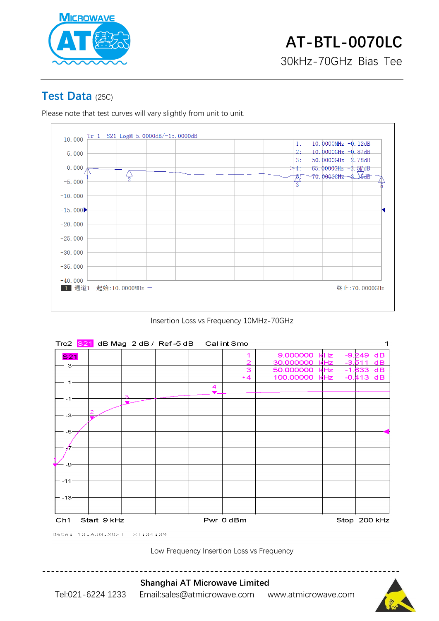

#### **Test Data** (25C)

Please note that test curves will vary slightly from unit to unit.



Insertion Loss vs Frequency 10MHz-70GHz



Low Frequency Insertion Loss vs Frequency